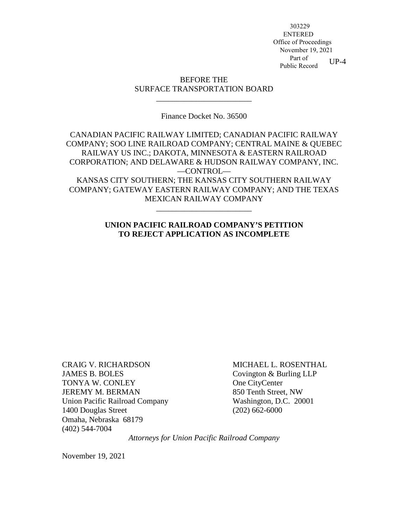$UP-4$  303229 ENTERED Office of Proceedings November 19, 2021 Part of Public Record

### BEFORE THE SURFACE TRANSPORTATION BOARD

\_\_\_\_\_\_\_\_\_\_\_\_\_\_\_\_\_\_\_\_\_\_\_\_

#### Finance Docket No. 36500

CANADIAN PACIFIC RAILWAY LIMITED; CANADIAN PACIFIC RAILWAY COMPANY; SOO LINE RAILROAD COMPANY; CENTRAL MAINE & QUEBEC RAILWAY US INC.; DAKOTA, MINNESOTA & EASTERN RAILROAD CORPORATION; AND DELAWARE & HUDSON RAILWAY COMPANY, INC. —CONTROL— KANSAS CITY SOUTHERN; THE KANSAS CITY SOUTHERN RAILWAY COMPANY; GATEWAY EASTERN RAILWAY COMPANY; AND THE TEXAS MEXICAN RAILWAY COMPANY

#### **UNION PACIFIC RAILROAD COMPANY'S PETITION TO REJECT APPLICATION AS INCOMPLETE**

\_\_\_\_\_\_\_\_\_\_\_\_\_\_\_\_\_\_\_\_\_\_\_\_

CRAIG V. RICHARDSON JAMES B. BOLES TONYA W. CONLEY JEREMY M. BERMAN Union Pacific Railroad Company 1400 Douglas Street Omaha, Nebraska 68179 (402) 544-7004

MICHAEL L. ROSENTHAL Covington & Burling LLP One CityCenter 850 Tenth Street, NW Washington, D.C. 20001 (202) 662-6000

*Attorneys for Union Pacific Railroad Company* 

November 19, 2021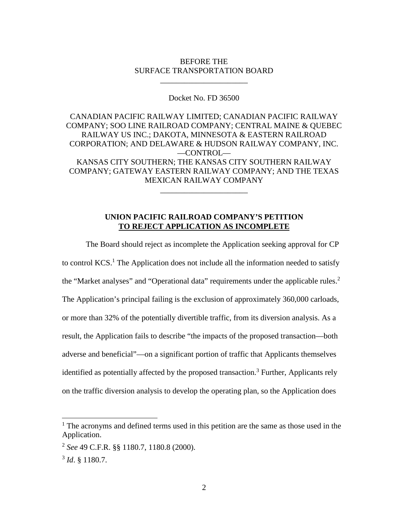#### BEFORE THE SURFACE TRANSPORTATION BOARD

\_\_\_\_\_\_\_\_\_\_\_\_\_\_\_\_\_\_\_\_\_\_

Docket No. FD 36500

CANADIAN PACIFIC RAILWAY LIMITED; CANADIAN PACIFIC RAILWAY COMPANY; SOO LINE RAILROAD COMPANY; CENTRAL MAINE & QUEBEC RAILWAY US INC.; DAKOTA, MINNESOTA & EASTERN RAILROAD CORPORATION; AND DELAWARE & HUDSON RAILWAY COMPANY, INC. —CONTROL— KANSAS CITY SOUTHERN; THE KANSAS CITY SOUTHERN RAILWAY COMPANY; GATEWAY EASTERN RAILWAY COMPANY; AND THE TEXAS MEXICAN RAILWAY COMPANY

#### **UNION PACIFIC RAILROAD COMPANY'S PETITION TO REJECT APPLICATION AS INCOMPLETE**

\_\_\_\_\_\_\_\_\_\_\_\_\_\_\_\_\_\_\_\_\_\_

The Board should reject as incomplete the Application seeking approval for CP to control  $KCS$ .<sup>[1](#page-1-0)</sup> The Application does not include all the information needed to satisfy the "Market analyses" and "Operational data" requirements under the applicable rules.<sup>[2](#page-1-1)</sup> The Application's principal failing is the exclusion of approximately 360,000 carloads, or more than 32% of the potentially divertible traffic, from its diversion analysis. As a result, the Application fails to describe "the impacts of the proposed transaction—both adverse and beneficial"—on a significant portion of traffic that Applicants themselves identified as potentially affected by the proposed transaction.<sup>[3](#page-1-2)</sup> Further, Applicants rely on the traffic diversion analysis to develop the operating plan, so the Application does

<span id="page-1-0"></span><sup>&</sup>lt;sup>1</sup> The acronyms and defined terms used in this petition are the same as those used in the Application.

<span id="page-1-1"></span><sup>2</sup> *See* 49 C.F.R. §§ 1180.7, 1180.8 (2000).

<span id="page-1-2"></span><sup>3</sup> *Id*. § 1180.7.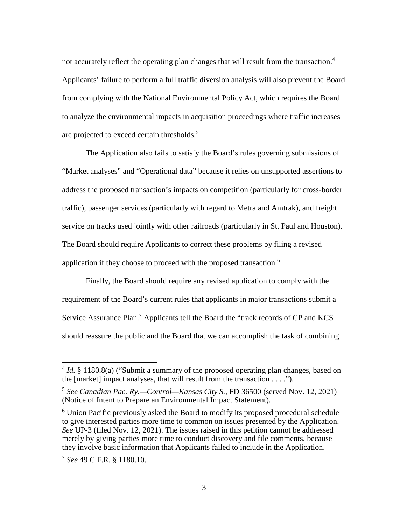not accurately reflect the operating plan changes that will result from the transaction.<sup>[4](#page-2-0)</sup> Applicants' failure to perform a full traffic diversion analysis will also prevent the Board from complying with the National Environmental Policy Act, which requires the Board to analyze the environmental impacts in acquisition proceedings where traffic increases are projected to exceed certain thresholds.<sup>[5](#page-2-1)</sup>

The Application also fails to satisfy the Board's rules governing submissions of "Market analyses" and "Operational data" because it relies on unsupported assertions to address the proposed transaction's impacts on competition (particularly for cross-border traffic), passenger services (particularly with regard to Metra and Amtrak), and freight service on tracks used jointly with other railroads (particularly in St. Paul and Houston). The Board should require Applicants to correct these problems by filing a revised application if they choose to proceed with the proposed transaction.<sup>[6](#page-2-2)</sup>

Finally, the Board should require any revised application to comply with the requirement of the Board's current rules that applicants in major transactions submit a Service Assurance Plan.<sup>[7](#page-2-3)</sup> Applicants tell the Board the "track records of CP and KCS should reassure the public and the Board that we can accomplish the task of combining

<span id="page-2-0"></span><sup>&</sup>lt;sup>4</sup> *Id.* § 1180.8(a) ("Submit a summary of the proposed operating plan changes, based on the  $[market]$  impact analyses, that will result from the transaction  $\dots$ ").

<span id="page-2-1"></span><sup>5</sup> *See Canadian Pac. Ry.—Control—Kansas City S.*, FD 36500 (served Nov. 12, 2021) (Notice of Intent to Prepare an Environmental Impact Statement).

<span id="page-2-2"></span><sup>&</sup>lt;sup>6</sup> Union Pacific previously asked the Board to modify its proposed procedural schedule to give interested parties more time to common on issues presented by the Application. *See* UP-3 (filed Nov. 12, 2021). The issues raised in this petition cannot be addressed merely by giving parties more time to conduct discovery and file comments, because they involve basic information that Applicants failed to include in the Application.

<span id="page-2-3"></span><sup>7</sup> *See* 49 C.F.R. § 1180.10.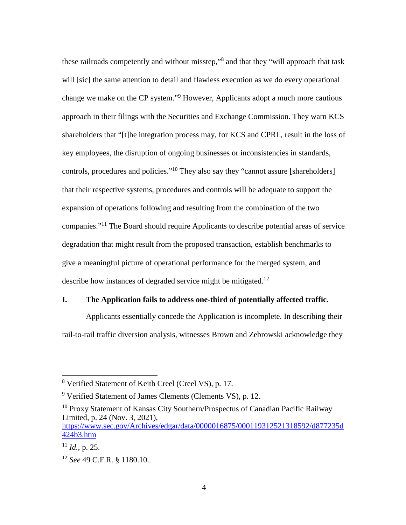these railroads competently and without misstep,"<sup>[8](#page-3-0)</sup> and that they "will approach that task will [sic] the same attention to detail and flawless execution as we do every operational change we make on the CP system."<sup>[9](#page-3-1)</sup> However, Applicants adopt a much more cautious approach in their filings with the Securities and Exchange Commission. They warn KCS shareholders that "[t]he integration process may, for KCS and CPRL, result in the loss of key employees, the disruption of ongoing businesses or inconsistencies in standards, controls, procedures and policies."<sup>[10](#page-3-2)</sup> They also say they "cannot assure [shareholders] that their respective systems, procedures and controls will be adequate to support the expansion of operations following and resulting from the combination of the two companies."[11](#page-3-3) The Board should require Applicants to describe potential areas of service degradation that might result from the proposed transaction, establish benchmarks to give a meaningful picture of operational performance for the merged system, and describe how instances of degraded service might be mitigated.<sup>[12](#page-3-4)</sup>

### **I. The Application fails to address one-third of potentially affected traffic.**

Applicants essentially concede the Application is incomplete. In describing their rail-to-rail traffic diversion analysis, witnesses Brown and Zebrowski acknowledge they

<span id="page-3-0"></span><sup>8</sup> Verified Statement of Keith Creel (Creel VS), p. 17.

<span id="page-3-1"></span><sup>&</sup>lt;sup>9</sup> Verified Statement of James Clements (Clements VS), p. 12.

<span id="page-3-2"></span><sup>&</sup>lt;sup>10</sup> Proxy Statement of Kansas City Southern/Prospectus of Canadian Pacific Railway Limited, p. 24 (Nov. 3, 2021), https://www.sec.gov/Archives/edgar/data/0000016875/000119312521318592/d877235d 424b3.htm

<span id="page-3-3"></span> $^{11}$  *Id.*, p. 25.

<span id="page-3-4"></span><sup>12</sup> *See* 49 C.F.R. § 1180.10.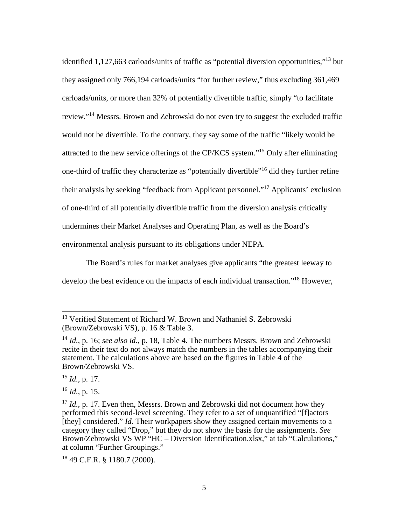identified 1,127,663 carloads/units of traffic as "potential diversion opportunities,"[13](#page-4-0) but they assigned only 766,194 carloads/units "for further review," thus excluding 361,469 carloads/units, or more than 32% of potentially divertible traffic, simply "to facilitate review."[14](#page-4-1) Messrs. Brown and Zebrowski do not even try to suggest the excluded traffic would not be divertible. To the contrary, they say some of the traffic "likely would be attracted to the new service offerings of the CP/KCS system."[15](#page-4-2) Only after eliminating one-third of traffic they characterize as "potentially divertible"[16](#page-4-3) did they further refine their analysis by seeking "feedback from Applicant personnel."[17](#page-4-4) Applicants' exclusion of one-third of all potentially divertible traffic from the diversion analysis critically undermines their Market Analyses and Operating Plan, as well as the Board's environmental analysis pursuant to its obligations under NEPA.

The Board's rules for market analyses give applicants "the greatest leeway to develop the best evidence on the impacts of each individual transaction."<sup>[18](#page-4-5)</sup> However,

<span id="page-4-0"></span><sup>&</sup>lt;sup>13</sup> Verified Statement of Richard W. Brown and Nathaniel S. Zebrowski (Brown/Zebrowski VS), p. 16 & Table 3.

<span id="page-4-1"></span><sup>14</sup> *Id.*, p. 16; *see also id.*, p. 18, Table 4. The numbers Messrs. Brown and Zebrowski recite in their text do not always match the numbers in the tables accompanying their statement. The calculations above are based on the figures in Table 4 of the Brown/Zebrowski VS.

<span id="page-4-2"></span><sup>15</sup> *Id.*, p. 17.

<span id="page-4-3"></span><sup>16</sup> *Id.*, p. 15.

<span id="page-4-4"></span><sup>&</sup>lt;sup>17</sup> *Id.*, p. 17. Even then, Messrs. Brown and Zebrowski did not document how they performed this second-level screening. They refer to a set of unquantified "[f]actors [they] considered." *Id.* Their workpapers show they assigned certain movements to a category they called "Drop," but they do not show the basis for the assignments. *See* Brown/Zebrowski VS WP "HC – Diversion Identification.xlsx," at tab "Calculations," at column "Further Groupings."

<span id="page-4-5"></span><sup>18</sup> 49 C.F.R. § 1180.7 (2000).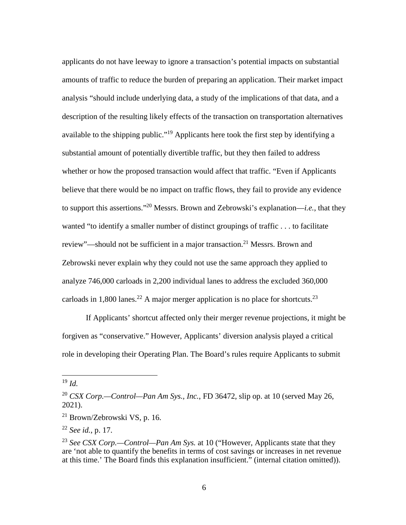applicants do not have leeway to ignore a transaction's potential impacts on substantial amounts of traffic to reduce the burden of preparing an application. Their market impact analysis "should include underlying data, a study of the implications of that data, and a description of the resulting likely effects of the transaction on transportation alternatives available to the shipping public."[19](#page-5-0) Applicants here took the first step by identifying a substantial amount of potentially divertible traffic, but they then failed to address whether or how the proposed transaction would affect that traffic. "Even if Applicants believe that there would be no impact on traffic flows, they fail to provide any evidence to support this assertions."[20](#page-5-1) Messrs. Brown and Zebrowski's explanation—*i.e.*, that they wanted "to identify a smaller number of distinct groupings of traffic . . . to facilitate review"—should not be sufficient in a major transaction.<sup>[21](#page-5-2)</sup> Messrs. Brown and Zebrowski never explain why they could not use the same approach they applied to analyze 746,000 carloads in 2,200 individual lanes to address the excluded 360,000 carloads in 1,800 lanes.<sup>[22](#page-5-3)</sup> A major merger application is no place for shortcuts.<sup>[23](#page-5-4)</sup>

If Applicants' shortcut affected only their merger revenue projections, it might be forgiven as "conservative." However, Applicants' diversion analysis played a critical role in developing their Operating Plan. The Board's rules require Applicants to submit

<span id="page-5-0"></span><sup>19</sup> *Id.*

<span id="page-5-1"></span><sup>20</sup> *CSX Corp.—Control—Pan Am Sys., Inc.*, FD 36472, slip op. at 10 (served May 26, 2021).

<span id="page-5-2"></span><sup>21</sup> Brown/Zebrowski VS, p. 16.

<span id="page-5-3"></span><sup>22</sup> *See id.*, p. 17.

<span id="page-5-4"></span><sup>23</sup> *See CSX Corp.—Control—Pan Am Sys.* at 10 ("However, Applicants state that they are 'not able to quantify the benefits in terms of cost savings or increases in net revenue at this time.' The Board finds this explanation insufficient." (internal citation omitted)).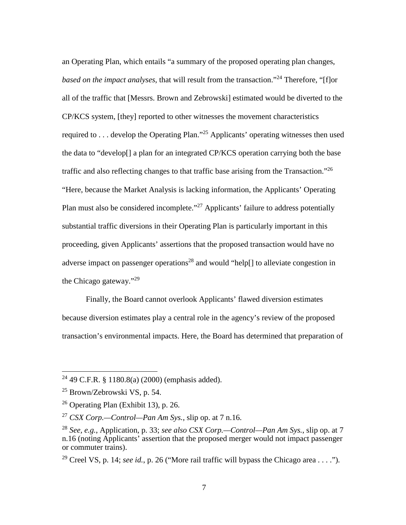an Operating Plan, which entails "a summary of the proposed operating plan changes, *based on the impact analyses*, that will result from the transaction."<sup>[24](#page-6-0)</sup> Therefore, "[f]or all of the traffic that [Messrs. Brown and Zebrowski] estimated would be diverted to the CP/KCS system, [they] reported to other witnesses the movement characteristics required to . . . develop the Operating Plan."[25](#page-6-1) Applicants' operating witnesses then used the data to "develop[] a plan for an integrated CP/KCS operation carrying both the base traffic and also reflecting changes to that traffic base arising from the Transaction."<sup>[26](#page-6-2)</sup> "Here, because the Market Analysis is lacking information, the Applicants' Operating Plan must also be considered incomplete."<sup>[27](#page-6-3)</sup> Applicants' failure to address potentially substantial traffic diversions in their Operating Plan is particularly important in this proceeding, given Applicants' assertions that the proposed transaction would have no adverse impact on passenger operations<sup>[28](#page-6-4)</sup> and would "help[] to alleviate congestion in the Chicago gateway."[29](#page-6-5)

Finally, the Board cannot overlook Applicants' flawed diversion estimates because diversion estimates play a central role in the agency's review of the proposed transaction's environmental impacts. Here, the Board has determined that preparation of

<span id="page-6-5"></span><sup>29</sup> Creel VS, p. 14; *see id.*, p. 26 ("More rail traffic will bypass the Chicago area . . . .").

<span id="page-6-0"></span><sup>&</sup>lt;sup>24</sup> 49 C.F.R. § 1180.8(a) (2000) (emphasis added).

<span id="page-6-1"></span><sup>25</sup> Brown/Zebrowski VS, p. 54.

<span id="page-6-2"></span> $26$  Operating Plan (Exhibit 13), p. 26.

<span id="page-6-3"></span><sup>27</sup> *CSX Corp.—Control—Pan Am Sys.*, slip op. at 7 n.16.

<span id="page-6-4"></span><sup>28</sup> *See, e.g.*, Application, p. 33; *see also CSX Corp.—Control—Pan Am Sys.*, slip op. at 7 n.16 (noting Applicants' assertion that the proposed merger would not impact passenger or commuter trains).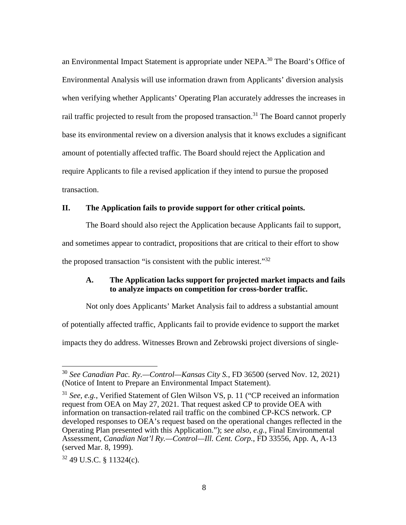an Environmental Impact Statement is appropriate under NEPA.<sup>[30](#page-7-0)</sup> The Board's Office of Environmental Analysis will use information drawn from Applicants' diversion analysis when verifying whether Applicants' Operating Plan accurately addresses the increases in rail traffic projected to result from the proposed transaction.<sup>[31](#page-7-1)</sup> The Board cannot properly base its environmental review on a diversion analysis that it knows excludes a significant amount of potentially affected traffic. The Board should reject the Application and require Applicants to file a revised application if they intend to pursue the proposed transaction.

### **II. The Application fails to provide support for other critical points.**

The Board should also reject the Application because Applicants fail to support, and sometimes appear to contradict, propositions that are critical to their effort to show the proposed transaction "is consistent with the public interest." $32$ 

# **A. The Application lacks support for projected market impacts and fails to analyze impacts on competition for cross-border traffic.**

Not only does Applicants' Market Analysis fail to address a substantial amount of potentially affected traffic, Applicants fail to provide evidence to support the market impacts they do address. Witnesses Brown and Zebrowski project diversions of single-

<span id="page-7-0"></span><sup>30</sup> *See Canadian Pac. Ry.—Control—Kansas City S.*, FD 36500 (served Nov. 12, 2021) (Notice of Intent to Prepare an Environmental Impact Statement).

<span id="page-7-1"></span><sup>31</sup> *See, e.g.*, Verified Statement of Glen Wilson VS, p. 11 ("CP received an information request from OEA on May 27, 2021. That request asked CP to provide OEA with information on transaction-related rail traffic on the combined CP-KCS network. CP developed responses to OEA's request based on the operational changes reflected in the Operating Plan presented with this Application."); *see also, e.g.*, Final Environmental Assessment, *Canadian Nat'l Ry.—Control—Ill. Cent. Corp.*, FD 33556, App. A, A-13 (served Mar. 8, 1999).

<span id="page-7-2"></span> $32$  49 U.S.C. § 11324(c).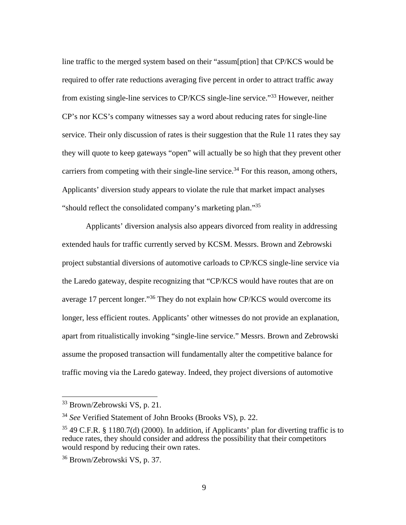line traffic to the merged system based on their "assum[ption] that CP/KCS would be required to offer rate reductions averaging five percent in order to attract traffic away from existing single-line services to CP/KCS single-line service."[33](#page-8-0) However, neither CP's nor KCS's company witnesses say a word about reducing rates for single-line service. Their only discussion of rates is their suggestion that the Rule 11 rates they say they will quote to keep gateways "open" will actually be so high that they prevent other carriers from competing with their single-line service.<sup>[34](#page-8-1)</sup> For this reason, among others, Applicants' diversion study appears to violate the rule that market impact analyses "should reflect the consolidated company's marketing plan."<sup>[35](#page-8-2)</sup>

Applicants' diversion analysis also appears divorced from reality in addressing extended hauls for traffic currently served by KCSM. Messrs. Brown and Zebrowski project substantial diversions of automotive carloads to CP/KCS single-line service via the Laredo gateway, despite recognizing that "CP/KCS would have routes that are on average 17 percent longer.<sup>35</sup> They do not explain how CP/KCS would overcome its longer, less efficient routes. Applicants' other witnesses do not provide an explanation, apart from ritualistically invoking "single-line service." Messrs. Brown and Zebrowski assume the proposed transaction will fundamentally alter the competitive balance for traffic moving via the Laredo gateway. Indeed, they project diversions of automotive

<span id="page-8-0"></span><sup>33</sup> Brown/Zebrowski VS, p. 21.

<span id="page-8-1"></span><sup>34</sup> *See* Verified Statement of John Brooks (Brooks VS), p. 22.

<span id="page-8-2"></span> $35\,49$  C.F.R. § 1180.7(d) (2000). In addition, if Applicants' plan for diverting traffic is to reduce rates, they should consider and address the possibility that their competitors would respond by reducing their own rates.

<span id="page-8-3"></span><sup>36</sup> Brown/Zebrowski VS, p. 37.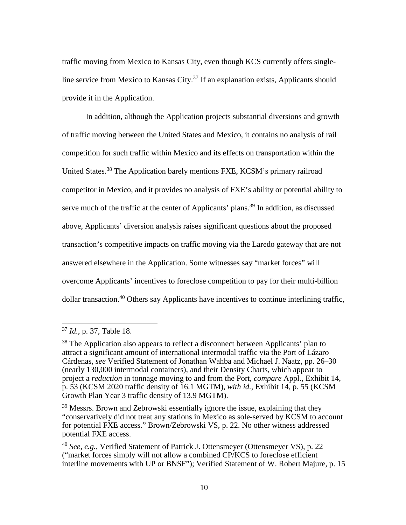traffic moving from Mexico to Kansas City, even though KCS currently offers singleline service from Mexico to Kansas City. $37$  If an explanation exists, Applicants should provide it in the Application.

In addition, although the Application projects substantial diversions and growth of traffic moving between the United States and Mexico, it contains no analysis of rail competition for such traffic within Mexico and its effects on transportation within the United States.<sup>[38](#page-9-1)</sup> The Application barely mentions FXE, KCSM's primary railroad competitor in Mexico, and it provides no analysis of FXE's ability or potential ability to serve much of the traffic at the center of Applicants' plans.<sup>[39](#page-9-2)</sup> In addition, as discussed above, Applicants' diversion analysis raises significant questions about the proposed transaction's competitive impacts on traffic moving via the Laredo gateway that are not answered elsewhere in the Application. Some witnesses say "market forces" will overcome Applicants' incentives to foreclose competition to pay for their multi-billion dollar transaction.<sup>[40](#page-9-3)</sup> Others say Applicants have incentives to continue interlining traffic.

<span id="page-9-0"></span><sup>37</sup> *Id.*, p. 37, Table 18.

<span id="page-9-1"></span><sup>&</sup>lt;sup>38</sup> The Application also appears to reflect a disconnect between Applicants' plan to attract a significant amount of international intermodal traffic via the Port of Lázaro Cárdenas, *see* Verified Statement of Jonathan Wahba and Michael J. Naatz, pp. 26–30 (nearly 130,000 intermodal containers), and their Density Charts, which appear to project a *reduction* in tonnage moving to and from the Port, *compare* Appl., Exhibit 14, p. 53 (KCSM 2020 traffic density of 16.1 MGTM), *with id.*, Exhibit 14, p. 55 (KCSM Growth Plan Year 3 traffic density of 13.9 MGTM).

<span id="page-9-2"></span><sup>&</sup>lt;sup>39</sup> Messrs. Brown and Zebrowski essentially ignore the issue, explaining that they "conservatively did not treat any stations in Mexico as sole-served by KCSM to account for potential FXE access." Brown/Zebrowski VS, p. 22. No other witness addressed potential FXE access.

<span id="page-9-3"></span><sup>40</sup> *See, e.g.*, Verified Statement of Patrick J. Ottensmeyer (Ottensmeyer VS), p. 22 ("market forces simply will not allow a combined CP/KCS to foreclose efficient interline movements with UP or BNSF"); Verified Statement of W. Robert Majure, p. 15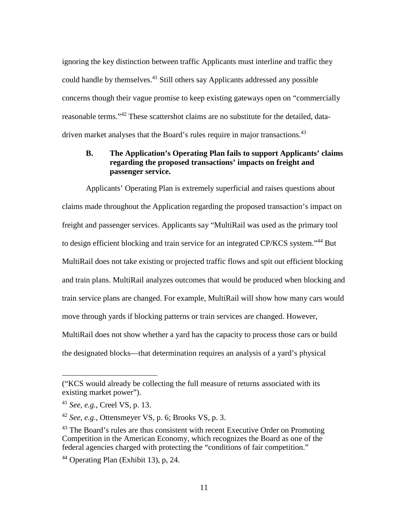ignoring the key distinction between traffic Applicants must interline and traffic they could handle by themselves.<sup>[41](#page-10-0)</sup> Still others say Applicants addressed any possible concerns though their vague promise to keep existing gateways open on "commercially reasonable terms."[42](#page-10-1) These scattershot claims are no substitute for the detailed, data-driven market analyses that the Board's rules require in major transactions.<sup>[43](#page-10-2)</sup>

# **B. The Application's Operating Plan fails to support Applicants' claims regarding the proposed transactions' impacts on freight and passenger service.**

Applicants' Operating Plan is extremely superficial and raises questions about claims made throughout the Application regarding the proposed transaction's impact on freight and passenger services. Applicants say "MultiRail was used as the primary tool to design efficient blocking and train service for an integrated CP/KCS system."[44](#page-10-3) But MultiRail does not take existing or projected traffic flows and spit out efficient blocking and train plans. MultiRail analyzes outcomes that would be produced when blocking and train service plans are changed. For example, MultiRail will show how many cars would move through yards if blocking patterns or train services are changed. However, MultiRail does not show whether a yard has the capacity to process those cars or build the designated blocks—that determination requires an analysis of a yard's physical

<sup>(&</sup>quot;KCS would already be collecting the full measure of returns associated with its existing market power").

<span id="page-10-0"></span><sup>41</sup> *See, e.g.*, Creel VS, p. 13.

<span id="page-10-1"></span><sup>42</sup> *See, e.g.*, Ottensmeyer VS, p. 6; Brooks VS, p. 3.

<span id="page-10-2"></span><sup>&</sup>lt;sup>43</sup> The Board's rules are thus consistent with recent Executive Order on Promoting Competition in the American Economy, which recognizes the Board as one of the federal agencies charged with protecting the "conditions of fair competition."

<span id="page-10-3"></span><sup>44</sup> Operating Plan (Exhibit 13), p, 24.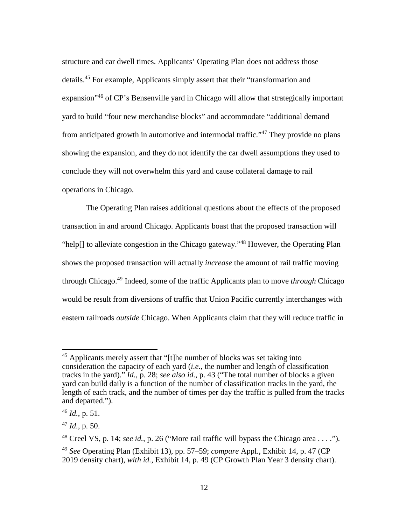structure and car dwell times. Applicants' Operating Plan does not address those details.<sup>[45](#page-11-0)</sup> For example, Applicants simply assert that their "transformation and expansion<sup>3[46](#page-11-1)</sup> of CP's Bensenville yard in Chicago will allow that strategically important yard to build "four new merchandise blocks" and accommodate "additional demand from anticipated growth in automotive and intermodal traffic."<sup>[47](#page-11-2)</sup> They provide no plans showing the expansion, and they do not identify the car dwell assumptions they used to conclude they will not overwhelm this yard and cause collateral damage to rail operations in Chicago.

The Operating Plan raises additional questions about the effects of the proposed transaction in and around Chicago. Applicants boast that the proposed transaction will "help[] to alleviate congestion in the Chicago gateway."[48](#page-11-3) However, the Operating Plan shows the proposed transaction will actually *increase* the amount of rail traffic moving through Chicago.[49](#page-11-4) Indeed, some of the traffic Applicants plan to move *through* Chicago would be result from diversions of traffic that Union Pacific currently interchanges with eastern railroads *outside* Chicago. When Applicants claim that they will reduce traffic in

<span id="page-11-0"></span><sup>&</sup>lt;sup>45</sup> Applicants merely assert that "[t]he number of blocks was set taking into consideration the capacity of each yard (*i.e.*, the number and length of classification tracks in the yard)." *Id.*, p. 28; *see also id.*, p. 43 ("The total number of blocks a given yard can build daily is a function of the number of classification tracks in the yard, the length of each track, and the number of times per day the traffic is pulled from the tracks and departed.").

<span id="page-11-1"></span><sup>46</sup> *Id.*, p. 51.

<span id="page-11-2"></span><sup>47</sup> *Id.*, p. 50.

<span id="page-11-3"></span><sup>48</sup> Creel VS, p. 14; *see id.*, p. 26 ("More rail traffic will bypass the Chicago area . . . .").

<span id="page-11-4"></span><sup>49</sup> *See* Operating Plan (Exhibit 13), pp. 57–59; *compare* Appl., Exhibit 14, p. 47 (CP 2019 density chart), *with id.*, Exhibit 14, p. 49 (CP Growth Plan Year 3 density chart).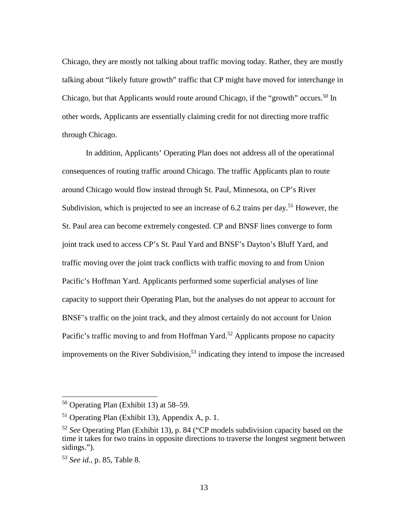Chicago, they are mostly not talking about traffic moving today. Rather, they are mostly talking about "likely future growth" traffic that CP might have moved for interchange in Chicago, but that Applicants would route around Chicago, if the "growth" occurs.<sup>[50](#page-12-0)</sup> In other words, Applicants are essentially claiming credit for not directing more traffic through Chicago.

In addition, Applicants' Operating Plan does not address all of the operational consequences of routing traffic around Chicago. The traffic Applicants plan to route around Chicago would flow instead through St. Paul, Minnesota, on CP's River Subdivision, which is projected to see an increase of 6.2 trains per day.<sup>[51](#page-12-1)</sup> However, the St. Paul area can become extremely congested. CP and BNSF lines converge to form joint track used to access CP's St. Paul Yard and BNSF's Dayton's Bluff Yard, and traffic moving over the joint track conflicts with traffic moving to and from Union Pacific's Hoffman Yard. Applicants performed some superficial analyses of line capacity to support their Operating Plan, but the analyses do not appear to account for BNSF's traffic on the joint track, and they almost certainly do not account for Union Pacific's traffic moving to and from Hoffman Yard.<sup>[52](#page-12-2)</sup> Applicants propose no capacity improvements on the River Subdivision,<sup>[53](#page-12-3)</sup> indicating they intend to impose the increased

<span id="page-12-0"></span><sup>50</sup> Operating Plan (Exhibit 13) at 58–59.

<span id="page-12-1"></span><sup>51</sup> Operating Plan (Exhibit 13), Appendix A, p. 1.

<span id="page-12-2"></span><sup>52</sup> *See* Operating Plan (Exhibit 13), p. 84 ("CP models subdivision capacity based on the time it takes for two trains in opposite directions to traverse the longest segment between sidings.").

<span id="page-12-3"></span><sup>53</sup> *See id.*, p. 85, Table 8.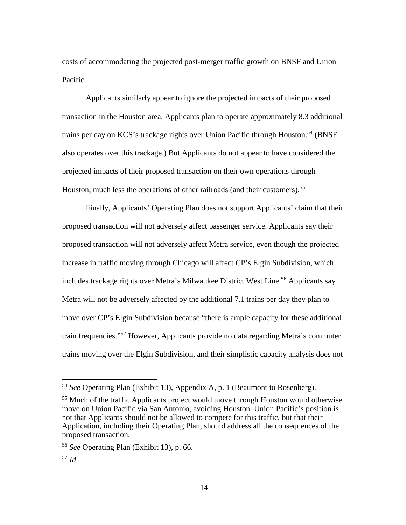costs of accommodating the projected post-merger traffic growth on BNSF and Union Pacific.

Applicants similarly appear to ignore the projected impacts of their proposed transaction in the Houston area. Applicants plan to operate approximately 8.3 additional trains per day on KCS's trackage rights over Union Pacific through Houston.<sup>[54](#page-13-0)</sup> (BNSF also operates over this trackage.) But Applicants do not appear to have considered the projected impacts of their proposed transaction on their own operations through Houston, much less the operations of other railroads (and their customers).<sup>[55](#page-13-1)</sup>

Finally, Applicants' Operating Plan does not support Applicants' claim that their proposed transaction will not adversely affect passenger service. Applicants say their proposed transaction will not adversely affect Metra service, even though the projected increase in traffic moving through Chicago will affect CP's Elgin Subdivision, which includes trackage rights over Metra's Milwaukee District West Line.<sup>[56](#page-13-2)</sup> Applicants say Metra will not be adversely affected by the additional 7.1 trains per day they plan to move over CP's Elgin Subdivision because "there is ample capacity for these additional train frequencies."[57](#page-13-3) However, Applicants provide no data regarding Metra's commuter trains moving over the Elgin Subdivision, and their simplistic capacity analysis does not

<span id="page-13-0"></span><sup>54</sup> *See* Operating Plan (Exhibit 13), Appendix A, p. 1 (Beaumont to Rosenberg).

<span id="page-13-1"></span><sup>55</sup> Much of the traffic Applicants project would move through Houston would otherwise move on Union Pacific via San Antonio, avoiding Houston. Union Pacific's position is not that Applicants should not be allowed to compete for this traffic, but that their Application, including their Operating Plan, should address all the consequences of the proposed transaction.

<span id="page-13-2"></span><sup>56</sup> *See* Operating Plan (Exhibit 13), p. 66.

<span id="page-13-3"></span><sup>57</sup> *Id.*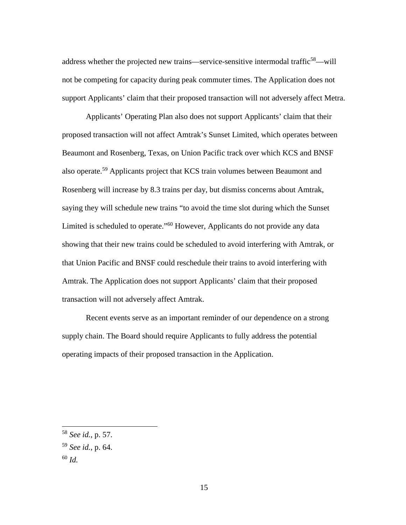address whether the projected new trains—service-sensitive intermodal traffic<sup>[58](#page-14-0)</sup>—will not be competing for capacity during peak commuter times. The Application does not support Applicants' claim that their proposed transaction will not adversely affect Metra.

Applicants' Operating Plan also does not support Applicants' claim that their proposed transaction will not affect Amtrak's Sunset Limited, which operates between Beaumont and Rosenberg, Texas, on Union Pacific track over which KCS and BNSF also operate.[59](#page-14-1) Applicants project that KCS train volumes between Beaumont and Rosenberg will increase by 8.3 trains per day, but dismiss concerns about Amtrak, saying they will schedule new trains "to avoid the time slot during which the Sunset Limited is scheduled to operate."<sup>[60](#page-14-2)</sup> However, Applicants do not provide any data showing that their new trains could be scheduled to avoid interfering with Amtrak, or that Union Pacific and BNSF could reschedule their trains to avoid interfering with Amtrak. The Application does not support Applicants' claim that their proposed transaction will not adversely affect Amtrak.

Recent events serve as an important reminder of our dependence on a strong supply chain. The Board should require Applicants to fully address the potential operating impacts of their proposed transaction in the Application.

<span id="page-14-0"></span><sup>58</sup> *See id.*, p. 57.

<span id="page-14-1"></span><sup>59</sup> *See id.*, p. 64.

<span id="page-14-2"></span><sup>60</sup> *Id.*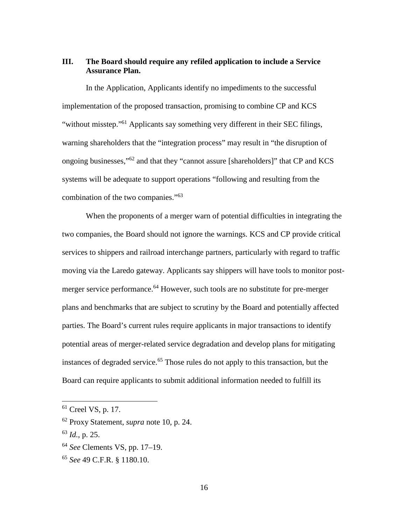## **III. The Board should require any refiled application to include a Service Assurance Plan.**

In the Application, Applicants identify no impediments to the successful implementation of the proposed transaction, promising to combine CP and KCS "without misstep."<sup>[61](#page-15-0)</sup> Applicants say something very different in their SEC filings, warning shareholders that the "integration process" may result in "the disruption of ongoing businesses,"[62](#page-15-1) and that they "cannot assure [shareholders]" that CP and KCS systems will be adequate to support operations "following and resulting from the combination of the two companies."[63](#page-15-2)

When the proponents of a merger warn of potential difficulties in integrating the two companies, the Board should not ignore the warnings. KCS and CP provide critical services to shippers and railroad interchange partners, particularly with regard to traffic moving via the Laredo gateway. Applicants say shippers will have tools to monitor post-merger service performance.<sup>[64](#page-15-3)</sup> However, such tools are no substitute for pre-merger plans and benchmarks that are subject to scrutiny by the Board and potentially affected parties. The Board's current rules require applicants in major transactions to identify potential areas of merger-related service degradation and develop plans for mitigating instances of degraded service.<sup>[65](#page-15-4)</sup> Those rules do not apply to this transaction, but the Board can require applicants to submit additional information needed to fulfill its

<span id="page-15-0"></span> $61$  Creel VS, p. 17.

<span id="page-15-1"></span><sup>62</sup> Proxy Statement, *supra* note 10, p. 24.

<span id="page-15-2"></span><sup>63</sup> *Id.*, p. 25.

<span id="page-15-3"></span><sup>64</sup> *See* Clements VS, pp. 17–19.

<span id="page-15-4"></span><sup>65</sup> *See* 49 C.F.R. § 1180.10.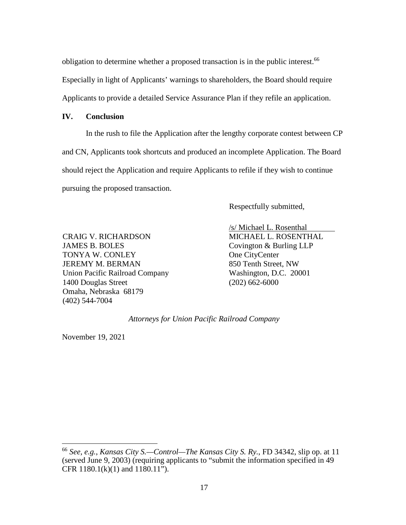obligation to determine whether a proposed transaction is in the public interest.<sup>[66](#page-16-0)</sup> Especially in light of Applicants' warnings to shareholders, the Board should require Applicants to provide a detailed Service Assurance Plan if they refile an application.

#### **IV. Conclusion**

In the rush to file the Application after the lengthy corporate contest between CP and CN, Applicants took shortcuts and produced an incomplete Application. The Board should reject the Application and require Applicants to refile if they wish to continue pursuing the proposed transaction.

Respectfully submitted,

CRAIG V. RICHARDSON JAMES B. BOLES TONYA W. CONLEY JEREMY M. BERMAN Union Pacific Railroad Company 1400 Douglas Street Omaha, Nebraska 68179 (402) 544-7004

/s/ Michael L. Rosenthal MICHAEL L. ROSENTHAL Covington & Burling LLP One CityCenter 850 Tenth Street, NW Washington, D.C. 20001 (202) 662-6000

*Attorneys for Union Pacific Railroad Company* 

November 19, 2021

<span id="page-16-0"></span><sup>66</sup> *See, e.g.*, *Kansas City S.—Control—The Kansas City S. Ry.*, FD 34342, slip op. at 11 (served June 9, 2003) (requiring applicants to "submit the information specified in 49 CFR 1180.1(k)(1) and 1180.11").